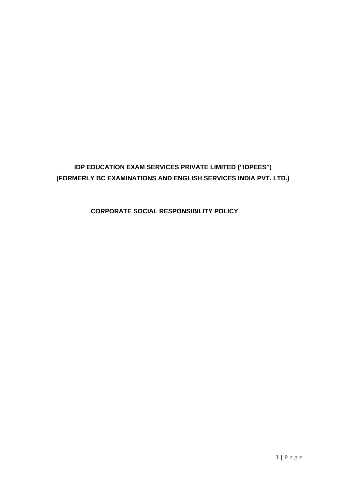# **IDP EDUCATION EXAM SERVICES PRIVATE LIMITED ("IDPEES") (FORMERLY BC EXAMINATIONS AND ENGLISH SERVICES INDIA PVT. LTD.)**

 **CORPORATE SOCIAL RESPONSIBILITY POLICY**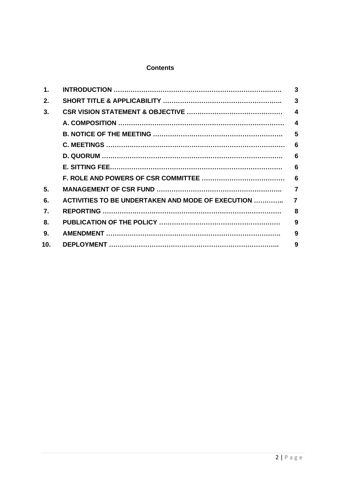# **Contents**

| 1.           |                                                           | 3                      |
|--------------|-----------------------------------------------------------|------------------------|
| 2.           |                                                           | $\overline{3}$         |
| 3.           |                                                           | $\boldsymbol{4}$       |
|              |                                                           | $\boldsymbol{\Lambda}$ |
|              |                                                           | 5                      |
|              |                                                           | 6                      |
|              |                                                           | 6                      |
|              |                                                           | 6                      |
|              |                                                           | 6                      |
| 5.           |                                                           | $\overline{7}$         |
| 6.           | <b>ACTIVITIES TO BE UNDERTAKEN AND MODE OF EXECUTION </b> | $\overline{7}$         |
| $\mathbf{7}$ |                                                           | 8                      |
| 8.           |                                                           | 9                      |
| 9.           |                                                           | 9                      |
| 10.          |                                                           | 9                      |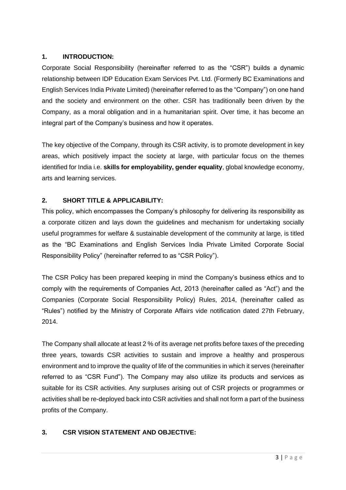# **1. INTRODUCTION:**

Corporate Social Responsibility (hereinafter referred to as the "CSR") builds a dynamic relationship between IDP Education Exam Services Pvt. Ltd. (Formerly BC Examinations and English Services India Private Limited) (hereinafter referred to as the "Company") on one hand and the society and environment on the other. CSR has traditionally been driven by the Company, as a moral obligation and in a humanitarian spirit. Over time, it has become an integral part of the Company's business and how it operates.

The key objective of the Company, through its CSR activity, is to promote development in key areas, which positively impact the society at large, with particular focus on the themes identified for India i.e. **skills for employability, gender equality**, global knowledge economy, arts and learning services.

# **2. SHORT TITLE & APPLICABILITY:**

This policy, which encompasses the Company's philosophy for delivering its responsibility as a corporate citizen and lays down the guidelines and mechanism for undertaking socially useful programmes for welfare & sustainable development of the community at large, is titled as the "BC Examinations and English Services India Private Limited Corporate Social Responsibility Policy" (hereinafter referred to as "CSR Policy").

The CSR Policy has been prepared keeping in mind the Company's business ethics and to comply with the requirements of Companies Act, 2013 (hereinafter called as "Act") and the Companies (Corporate Social Responsibility Policy) Rules, 2014, (hereinafter called as "Rules") notified by the Ministry of Corporate Affairs vide notification dated 27th February, 2014.

The Company shall allocate at least 2 % of its average net profits before taxes of the preceding three years, towards CSR activities to sustain and improve a healthy and prosperous environment and to improve the quality of life of the communities in which it serves (hereinafter referred to as "CSR Fund"). The Company may also utilize its products and services as suitable for its CSR activities. Any surpluses arising out of CSR projects or programmes or activities shall be re-deployed back into CSR activities and shall not form a part of the business profits of the Company.

# **3. CSR VISION STATEMENT AND OBJECTIVE:**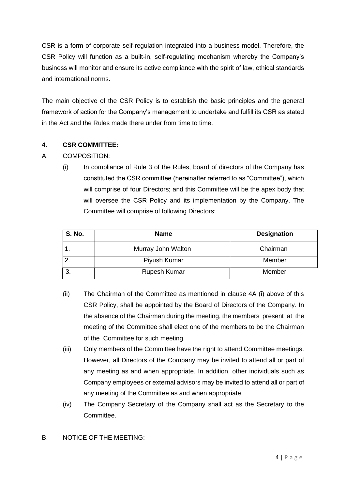CSR is a form of corporate self-regulation integrated into a business model. Therefore, the CSR Policy will function as a built-in, self-regulating mechanism whereby the Company's business will monitor and ensure its active compliance with the spirit of law, ethical standards and international norms.

The main objective of the CSR Policy is to establish the basic principles and the general framework of action for the Company's management to undertake and fulfill its CSR as stated in the Act and the Rules made there under from time to time.

#### **4. CSR COMMITTEE:**

#### A. COMPOSITION:

(i) In compliance of Rule 3 of the Rules, board of directors of the Company has constituted the CSR committee (hereinafter referred to as "Committee"), which will comprise of four Directors; and this Committee will be the apex body that will oversee the CSR Policy and its implementation by the Company. The Committee will comprise of following Directors:

| <b>S. No.</b> | <b>Name</b>        | <b>Designation</b> |
|---------------|--------------------|--------------------|
|               | Murray John Walton | Chairman           |
|               | Piyush Kumar       | Member             |
| ົ             | Rupesh Kumar       | Member             |

- (ii) The Chairman of the Committee as mentioned in clause 4A (i) above of this CSR Policy, shall be appointed by the Board of Directors of the Company. In the absence of the Chairman during the meeting, the members present at the meeting of the Committee shall elect one of the members to be the Chairman of the Committee for such meeting.
- (iii) Only members of the Committee have the right to attend Committee meetings. However, all Directors of the Company may be invited to attend all or part of any meeting as and when appropriate. In addition, other individuals such as Company employees or external advisors may be invited to attend all or part of any meeting of the Committee as and when appropriate.
- (iv) The Company Secretary of the Company shall act as the Secretary to the Committee.

#### B. NOTICE OF THE MEETING: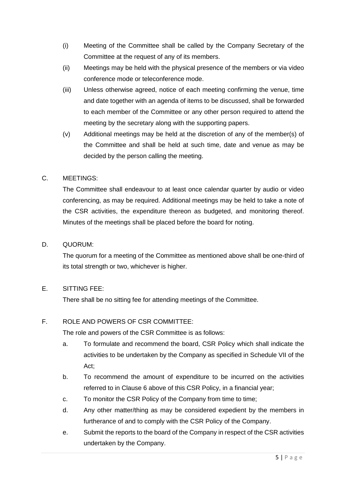- (i) Meeting of the Committee shall be called by the Company Secretary of the Committee at the request of any of its members.
- (ii) Meetings may be held with the physical presence of the members or via video conference mode or teleconference mode.
- (iii) Unless otherwise agreed, notice of each meeting confirming the venue, time and date together with an agenda of items to be discussed, shall be forwarded to each member of the Committee or any other person required to attend the meeting by the secretary along with the supporting papers.
- (v) Additional meetings may be held at the discretion of any of the member(s) of the Committee and shall be held at such time, date and venue as may be decided by the person calling the meeting.

#### C. MEETINGS:

The Committee shall endeavour to at least once calendar quarter by audio or video conferencing, as may be required. Additional meetings may be held to take a note of the CSR activities, the expenditure thereon as budgeted, and monitoring thereof. Minutes of the meetings shall be placed before the board for noting.

#### D. QUORUM:

The quorum for a meeting of the Committee as mentioned above shall be one-third of its total strength or two, whichever is higher.

# E. SITTING FEE:

There shall be no sitting fee for attending meetings of the Committee.

# F. ROLE AND POWERS OF CSR COMMITTEE:

The role and powers of the CSR Committee is as follows:

- a. To formulate and recommend the board, CSR Policy which shall indicate the activities to be undertaken by the Company as specified in Schedule VII of the Act;
- b. To recommend the amount of expenditure to be incurred on the activities referred to in Clause 6 above of this CSR Policy, in a financial year;
- c. To monitor the CSR Policy of the Company from time to time;
- d. Any other matter/thing as may be considered expedient by the members in furtherance of and to comply with the CSR Policy of the Company.
- e. Submit the reports to the board of the Company in respect of the CSR activities undertaken by the Company.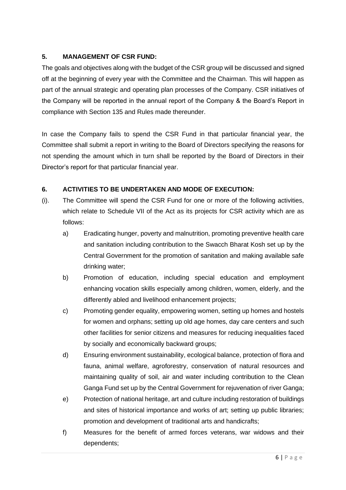# **5. MANAGEMENT OF CSR FUND:**

The goals and objectives along with the budget of the CSR group will be discussed and signed off at the beginning of every year with the Committee and the Chairman. This will happen as part of the annual strategic and operating plan processes of the Company. CSR initiatives of the Company will be reported in the annual report of the Company & the Board's Report in compliance with Section 135 and Rules made thereunder.

In case the Company fails to spend the CSR Fund in that particular financial year, the Committee shall submit a report in writing to the Board of Directors specifying the reasons for not spending the amount which in turn shall be reported by the Board of Directors in their Director's report for that particular financial year.

# **6. ACTIVITIES TO BE UNDERTAKEN AND MODE OF EXECUTION:**

- (i). The Committee will spend the CSR Fund for one or more of the following activities, which relate to Schedule VII of the Act as its projects for CSR activity which are as follows:
	- a) Eradicating hunger, poverty and malnutrition, promoting preventive health care and sanitation including contribution to the Swacch Bharat Kosh set up by the Central Government for the promotion of sanitation and making available safe drinking water;
	- b) Promotion of education, including special education and employment enhancing vocation skills especially among children, women, elderly, and the differently abled and livelihood enhancement projects;
	- c) Promoting gender equality, empowering women, setting up homes and hostels for women and orphans; setting up old age homes, day care centers and such other facilities for senior citizens and measures for reducing inequalities faced by socially and economically backward groups;
	- d) Ensuring environment sustainability, ecological balance, protection of flora and fauna, animal welfare, agroforestry, conservation of natural resources and maintaining quality of soil, air and water including contribution to the Clean Ganga Fund set up by the Central Government for rejuvenation of river Ganga;
	- e) Protection of national heritage, art and culture including restoration of buildings and sites of historical importance and works of art; setting up public libraries; promotion and development of traditional arts and handicrafts;
	- f) Measures for the benefit of armed forces veterans, war widows and their dependents;